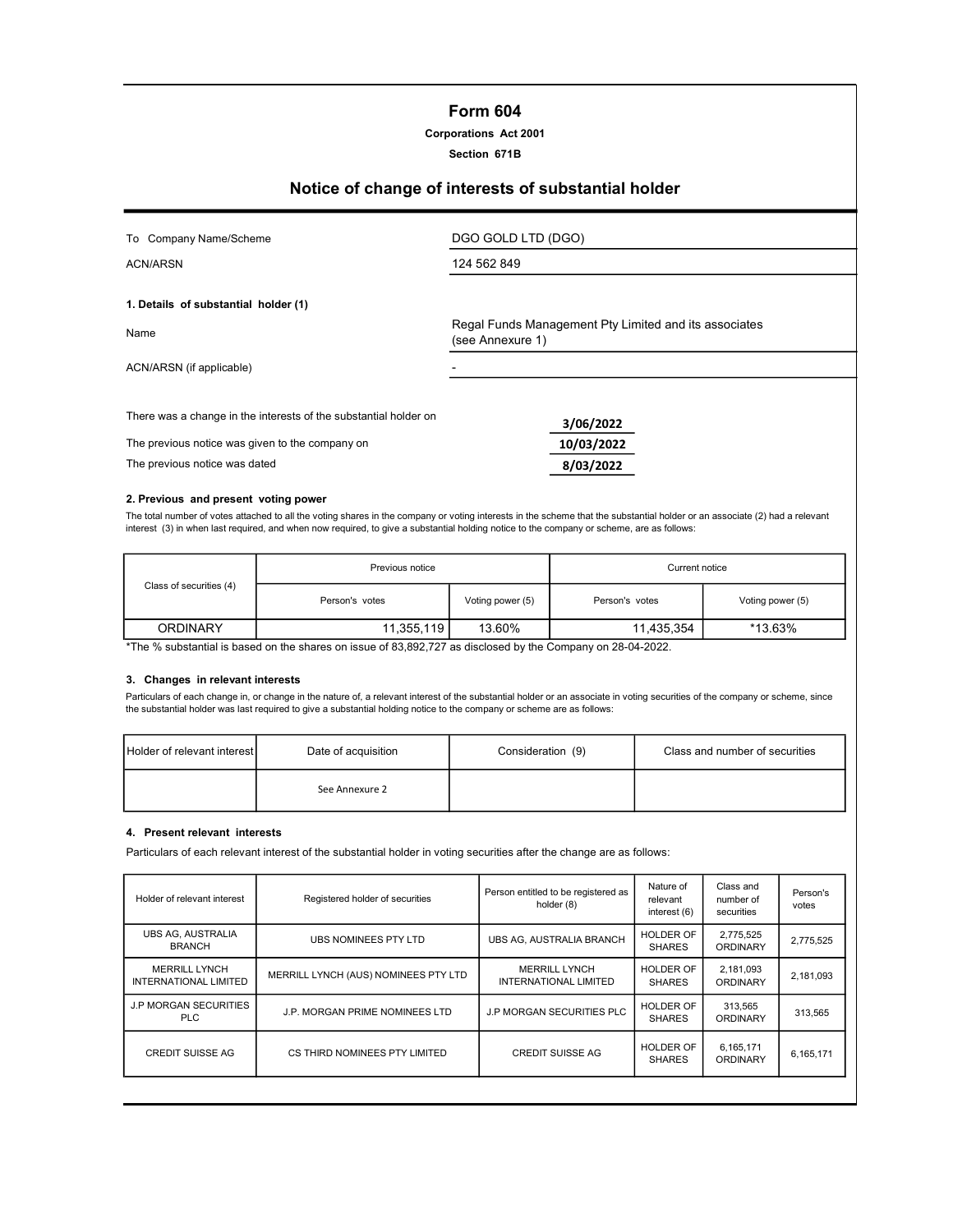# Form 604

# Corporations Act 2001

#### Section 671B

# Notice of change of interests of substantial holder

| To Company Name/Scheme                                           | DGO GOLD LTD (DGO)                                                        |
|------------------------------------------------------------------|---------------------------------------------------------------------------|
| <b>ACN/ARSN</b>                                                  | 124 562 849                                                               |
| 1. Details of substantial holder (1)                             |                                                                           |
| Name                                                             | Regal Funds Management Pty Limited and its associates<br>(see Annexure 1) |
| ACN/ARSN (if applicable)                                         |                                                                           |
| There was a change in the interests of the substantial holder on | 3/06/2022                                                                 |
| The previous notice was given to the company on                  | 10/03/2022                                                                |
| The previous notice was dated                                    | 8/03/2022                                                                 |

#### 2. Previous and present voting power

The total number of votes attached to all the voting shares in the company or voting interests in the scheme that the substantial holder or an associate (2) had a relevant interest (3) in when last required, and when now required, to give a substantial holding notice to the company or scheme, are as follows:

|                         | Previous notice |                  | Current notice |                  |  |
|-------------------------|-----------------|------------------|----------------|------------------|--|
| Class of securities (4) | Person's votes  | Voting power (5) | Person's votes | Voting power (5) |  |
| <b>ORDINARY</b>         | 11,355,119      | 13.60%           | 11,435,354     | *13.63%          |  |

\*The % substantial is based on the shares on issue of 83,892,727 as disclosed by the Company on 28-04-2022.

#### 3. Changes in relevant interests

Particulars of each change in, or change in the nature of, a relevant interest of the substantial holder or an associate in voting securities of the company or scheme, since the substantial holder was last required to give a substantial holding notice to the company or scheme are as follows:

| <b>Holder of relevant interest</b> | Date of acquisition | Consideration (9) | Class and number of securities |
|------------------------------------|---------------------|-------------------|--------------------------------|
|                                    | See Annexure 2      |                   |                                |

#### 4. Present relevant interests

Particulars of each relevant interest of the substantial holder in voting securities after the change are as follows:

| Holder of relevant interest                   | Registered holder of securities      | Person entitled to be registered as<br>holder (8)    | Nature of<br>relevant<br>interest (6) | Class and<br>number of<br>securities | Person's<br>votes |
|-----------------------------------------------|--------------------------------------|------------------------------------------------------|---------------------------------------|--------------------------------------|-------------------|
| UBS AG, AUSTRALIA<br><b>BRANCH</b>            | UBS NOMINEES PTY LTD                 | <b>UBS AG. AUSTRALIA BRANCH</b>                      | <b>HOLDER OF</b><br><b>SHARES</b>     | 2,775,525<br><b>ORDINARY</b>         | 2,775,525         |
| <b>MERRILL LYNCH</b><br>INTERNATIONAL LIMITED | MERRILL LYNCH (AUS) NOMINEES PTY LTD | <b>MERRILL LYNCH</b><br><b>INTERNATIONAL LIMITED</b> | <b>HOLDER OF</b><br><b>SHARES</b>     | 2,181,093<br>ORDINARY                | 2,181,093         |
| <b>J.P MORGAN SECURITIES</b><br><b>PLC</b>    | J.P. MORGAN PRIME NOMINEES LTD       | <b>J.P MORGAN SECURITIES PLC</b>                     | <b>HOLDER OF</b><br><b>SHARES</b>     | 313,565<br><b>ORDINARY</b>           | 313,565           |
| <b>CREDIT SUISSE AG</b>                       | CS THIRD NOMINEES PTY LIMITED        | <b>CREDIT SUISSE AG</b>                              | HOLDER OF<br><b>SHARES</b>            | 6,165,171<br><b>ORDINARY</b>         | 6,165,171         |
|                                               |                                      |                                                      |                                       |                                      |                   |